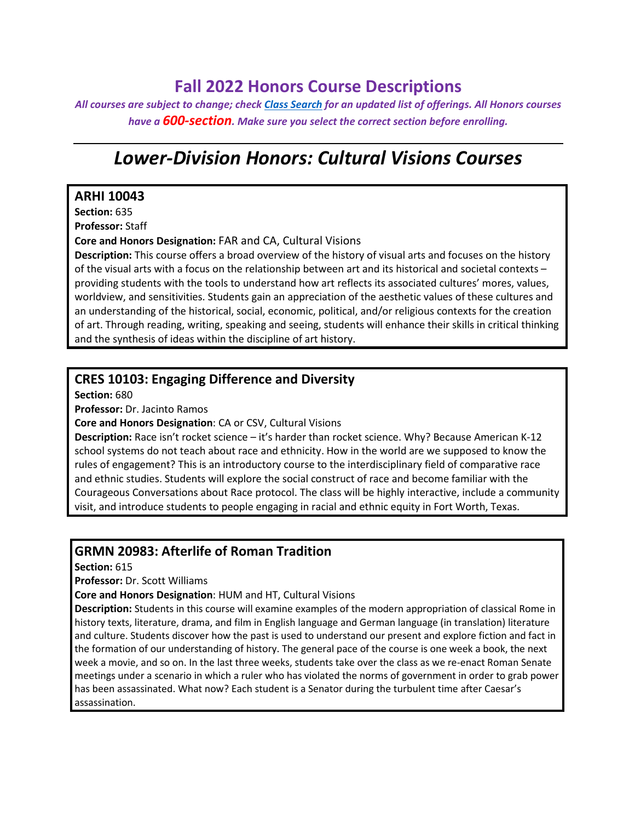# **Fall 2022 Honors Course Descriptions**

*All courses are subject to change; check [Class Search](https://classes.tcu.edu/) for an updated list of offerings. All Honors courses have a 600-section. Make sure you select the correct section before enrolling.*

# *Lower-Division Honors: Cultural Visions Courses*

#### **ARHI 10043**

**Section:** 635

**Professor:** Staff

**Core and Honors Designation:** FAR and CA, Cultural Visions

**Description:** This course offers a broad overview of the history of visual arts and focuses on the history of the visual arts with a focus on the relationship between art and its historical and societal contexts – providing students with the tools to understand how art reflects its associated cultures' mores, values, worldview, and sensitivities. Students gain an appreciation of the aesthetic values of these cultures and an understanding of the historical, social, economic, political, and/or religious contexts for the creation of art. Through reading, writing, speaking and seeing, students will enhance their skills in critical thinking and the synthesis of ideas within the discipline of art history.

### **CRES 10103: Engaging Difference and Diversity**

**Section:** 680

**Professor:** Dr. Jacinto Ramos

**Core and Honors Designation**: CA or CSV, Cultural Visions

**Description:** Race isn't rocket science – it's harder than rocket science. Why? Because American K-12 school systems do not teach about race and ethnicity. How in the world are we supposed to know the rules of engagement? This is an introductory course to the interdisciplinary field of comparative race and ethnic studies. Students will explore the social construct of race and become familiar with the Courageous Conversations about Race protocol. The class will be highly interactive, include a community visit, and introduce students to people engaging in racial and ethnic equity in Fort Worth, Texas.

#### **GRMN 20983: Afterlife of Roman Tradition**

**Section:** 615

**Professor:** Dr. Scott Williams

**Core and Honors Designation**: HUM and HT, Cultural Visions

**Description:** Students in this course will examine examples of the modern appropriation of classical Rome in history texts, literature, drama, and film in English language and German language (in translation) literature and culture. Students discover how the past is used to understand our present and explore fiction and fact in the formation of our understanding of history. The general pace of the course is one week a book, the next week a movie, and so on. In the last three weeks, students take over the class as we re-enact Roman Senate meetings under a scenario in which a ruler who has violated the norms of government in order to grab power has been assassinated. What now? Each student is a Senator during the turbulent time after Caesar's assassination.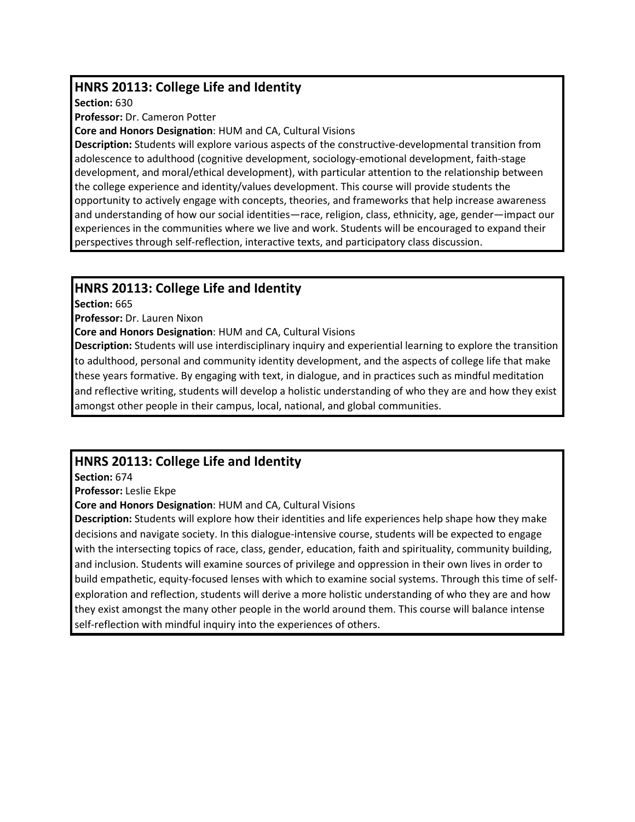# **HNRS 20113: College Life and Identity**

**Section:** 630

**Professor:** Dr. Cameron Potter

**Core and Honors Designation**: HUM and CA, Cultural Visions

**Description:** Students will explore various aspects of the constructive-developmental transition from adolescence to adulthood (cognitive development, sociology-emotional development, faith-stage development, and moral/ethical development), with particular attention to the relationship between the college experience and identity/values development. This course will provide students the opportunity to actively engage with concepts, theories, and frameworks that help increase awareness and understanding of how our social identities—race, religion, class, ethnicity, age, gender—impact our experiences in the communities where we live and work. Students will be encouraged to expand their perspectives through self-reflection, interactive texts, and participatory class discussion.

# **HNRS 20113: College Life and Identity**

**Section:** 665

**Professor:** Dr. Lauren Nixon

**Core and Honors Designation**: HUM and CA, Cultural Visions

**Description:** Students will use interdisciplinary inquiry and experiential learning to explore the transition to adulthood, personal and community identity development, and the aspects of college life that make these years formative. By engaging with text, in dialogue, and in practices such as mindful meditation and reflective writing, students will develop a holistic understanding of who they are and how they exist amongst other people in their campus, local, national, and global communities.

# **HNRS 20113: College Life and Identity**

**Section:** 674

**Professor:** Leslie Ekpe

**Core and Honors Designation**: HUM and CA, Cultural Visions

**Description:** Students will explore how their identities and life experiences help shape how they make decisions and navigate society. In this dialogue-intensive course, students will be expected to engage with the intersecting topics of race, class, gender, education, faith and spirituality, community building, and inclusion. Students will examine sources of privilege and oppression in their own lives in order to build empathetic, equity-focused lenses with which to examine social systems. Through this time of selfexploration and reflection, students will derive a more holistic understanding of who they are and how they exist amongst the many other people in the world around them. This course will balance intense self-reflection with mindful inquiry into the experiences of others.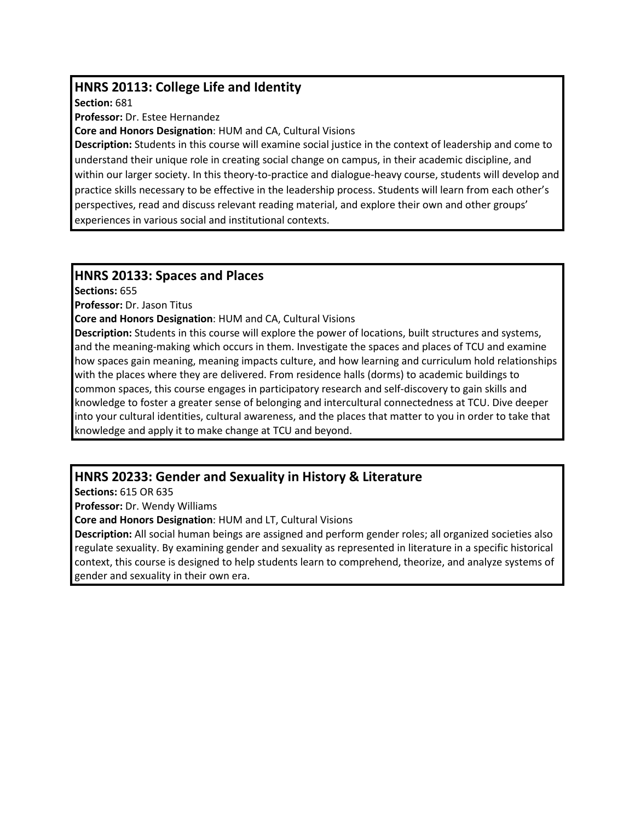# **HNRS 20113: College Life and Identity**

**Section:** 681

**Professor:** Dr. Estee Hernandez

**Core and Honors Designation**: HUM and CA, Cultural Visions

**Description:** Students in this course will examine social justice in the context of leadership and come to understand their unique role in creating social change on campus, in their academic discipline, and within our larger society. In this theory-to-practice and dialogue-heavy course, students will develop and practice skills necessary to be effective in the leadership process. Students will learn from each other's perspectives, read and discuss relevant reading material, and explore their own and other groups' experiences in various social and institutional contexts.

### **HNRS 20133: Spaces and Places**

**Sections:** 655

**Professor:** Dr. Jason Titus

**Core and Honors Designation**: HUM and CA, Cultural Visions

**Description:** Students in this course will explore the power of locations, built structures and systems, and the meaning-making which occurs in them. Investigate the spaces and places of TCU and examine how spaces gain meaning, meaning impacts culture, and how learning and curriculum hold relationships with the places where they are delivered. From residence halls (dorms) to academic buildings to common spaces, this course engages in participatory research and self-discovery to gain skills and knowledge to foster a greater sense of belonging and intercultural connectedness at TCU. Dive deeper into your cultural identities, cultural awareness, and the places that matter to you in order to take that knowledge and apply it to make change at TCU and beyond.

# **HNRS 20233: Gender and Sexuality in History & Literature**

**Sections:** 615 OR 635

**Professor:** Dr. Wendy Williams

**Core and Honors Designation**: HUM and LT, Cultural Visions

**Description:** All social human beings are assigned and perform gender roles; all organized societies also regulate sexuality. By examining gender and sexuality as represented in literature in a specific historical context, this course is designed to help students learn to comprehend, theorize, and analyze systems of gender and sexuality in their own era.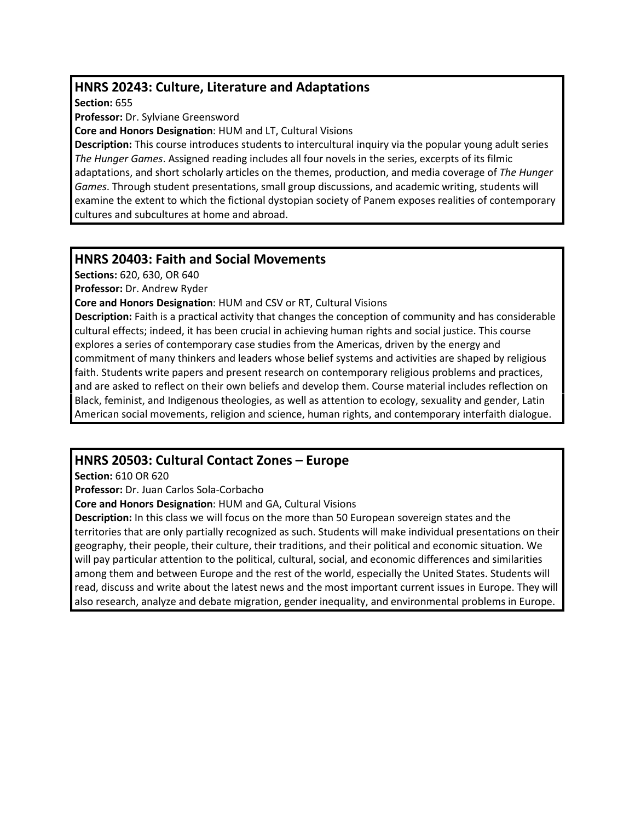# **HNRS 20243: Culture, Literature and Adaptations**

**Section:** 655

**Professor:** Dr. Sylviane Greensword

**Core and Honors Designation**: HUM and LT, Cultural Visions

**Description:** This course introduces students to intercultural inquiry via the popular young adult series *The Hunger Games*. Assigned reading includes all four novels in the series, excerpts of its filmic adaptations, and short scholarly articles on the themes, production, and media coverage of *The Hunger Games*. Through student presentations, small group discussions, and academic writing, students will examine the extent to which the fictional dystopian society of Panem exposes realities of contemporary cultures and subcultures at home and abroad.

#### **HNRS 20403: Faith and Social Movements**

**Sections:** 620, 630, OR 640

**Professor:** Dr. Andrew Ryder

**Core and Honors Designation**: HUM and CSV or RT, Cultural Visions

**Description:** Faith is a practical activity that changes the conception of community and has considerable cultural effects; indeed, it has been crucial in achieving human rights and social justice. This course explores a series of contemporary case studies from the Americas, driven by the energy and commitment of many thinkers and leaders whose belief systems and activities are shaped by religious faith. Students write papers and present research on contemporary religious problems and practices, and are asked to reflect on their own beliefs and develop them. Course material includes reflection on Black, feminist, and Indigenous theologies, as well as attention to ecology, sexuality and gender, Latin American social movements, religion and science, human rights, and contemporary interfaith dialogue.

# **HNRS 20503: Cultural Contact Zones – Europe**

**Section:** 610 OR 620

**Professor:** Dr. Juan Carlos Sola-Corbacho

**Core and Honors Designation**: HUM and GA, Cultural Visions

**Description:** In this class we will focus on the more than 50 European sovereign states and the territories that are only partially recognized as such. Students will make individual presentations on their geography, their people, their culture, their traditions, and their political and economic situation. We will pay particular attention to the political, cultural, social, and economic differences and similarities among them and between Europe and the rest of the world, especially the United States. Students will read, discuss and write about the latest news and the most important current issues in Europe. They will also research, analyze and debate migration, gender inequality, and environmental problems in Europe.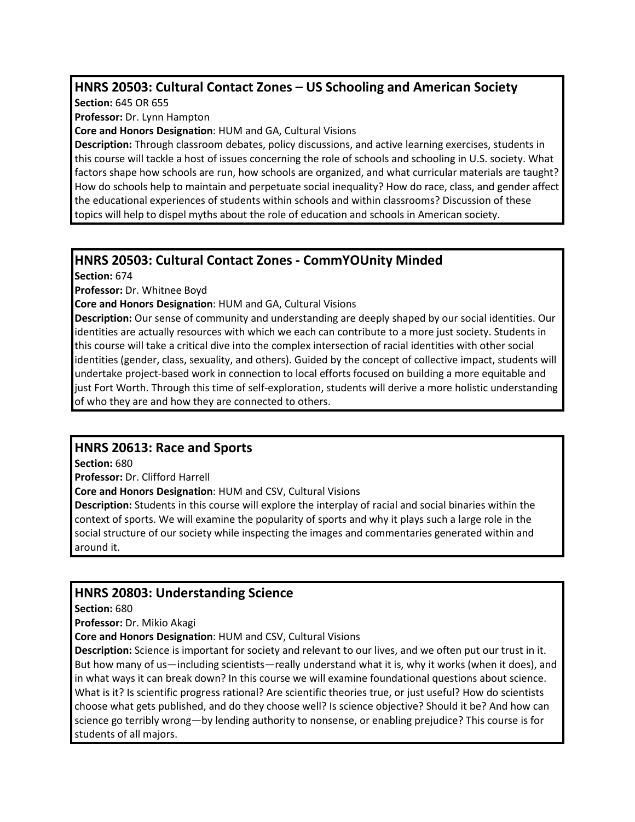# **HNRS 20503: Cultural Contact Zones – US Schooling and American Society**

**Section:** 645 OR 655

**Professor:** Dr. Lynn Hampton

**Core and Honors Designation**: HUM and GA, Cultural Visions

**Description:** Through classroom debates, policy discussions, and active learning exercises, students in this course will tackle a host of issues concerning the role of schools and schooling in U.S. society. What factors shape how schools are run, how schools are organized, and what curricular materials are taught? How do schools help to maintain and perpetuate social inequality? How do race, class, and gender affect the educational experiences of students within schools and within classrooms? Discussion of these topics will help to dispel myths about the role of education and schools in American society.

### **HNRS 20503: Cultural Contact Zones - CommYOUnity Minded**

**Section:** 674

**Professor:** Dr. Whitnee Boyd

**Core and Honors Designation**: HUM and GA, Cultural Visions

**Description:** Our sense of community and understanding are deeply shaped by our social identities. Our identities are actually resources with which we each can contribute to a more just society. Students in this course will take a critical dive into the complex intersection of racial identities with other social identities (gender, class, sexuality, and others). Guided by the concept of collective impact, students will undertake project-based work in connection to local efforts focused on building a more equitable and just Fort Worth. Through this time of self-exploration, students will derive a more holistic understanding of who they are and how they are connected to others.

# **HNRS 20613: Race and Sports**

**Section:** 680

**Professor:** Dr. Clifford Harrell

**Core and Honors Designation**: HUM and CSV, Cultural Visions

**Description:** Students in this course will explore the interplay of racial and social binaries within the context of sports. We will examine the popularity of sports and why it plays such a large role in the social structure of our society while inspecting the images and commentaries generated within and around it.

# **HNRS 20803: Understanding Science**

**Section:** 680

**Professor:** Dr. Mikio Akagi

**Core and Honors Designation**: HUM and CSV, Cultural Visions

**Description:** Science is important for society and relevant to our lives, and we often put our trust in it. But how many of us—including scientists—really understand what it is, why it works (when it does), and in what ways it can break down? In this course we will examine foundational questions about science. What is it? Is scientific progress rational? Are scientific theories true, or just useful? How do scientists choose what gets published, and do they choose well? Is science objective? Should it be? And how can science go terribly wrong—by lending authority to nonsense, or enabling prejudice? This course is for students of all majors.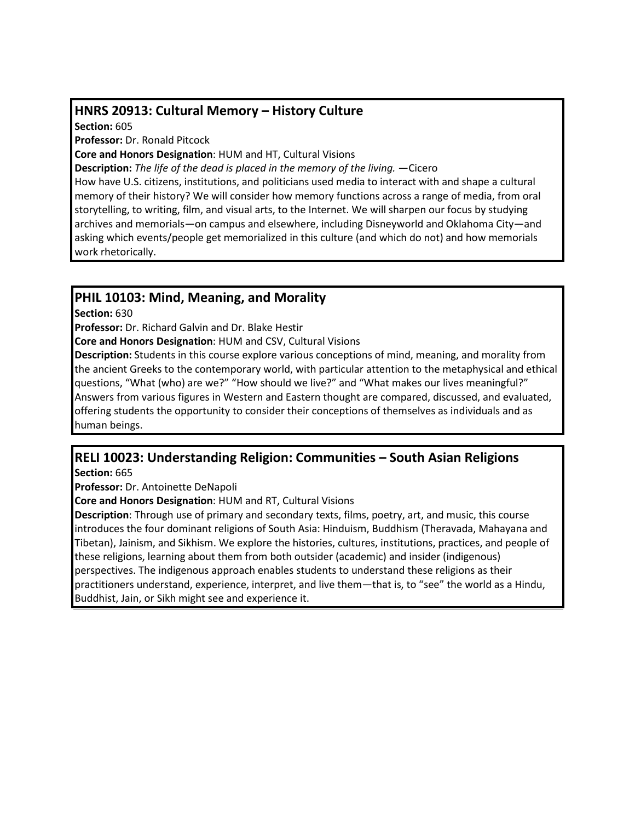### **HNRS 20913: Cultural Memory – History Culture**

**Section:** 605

**Professor:** Dr. Ronald Pitcock

**Core and Honors Designation**: HUM and HT, Cultural Visions

**Description:** *The life of the dead is placed in the memory of the living.* —Cicero

How have U.S. citizens, institutions, and politicians used media to interact with and shape a cultural memory of their history? We will consider how memory functions across a range of media, from oral storytelling, to writing, film, and visual arts, to the Internet. We will sharpen our focus by studying archives and memorials—on campus and elsewhere, including Disneyworld and Oklahoma City—and asking which events/people get memorialized in this culture (and which do not) and how memorials work rhetorically.

#### **PHIL 10103: Mind, Meaning, and Morality**

**Section:** 630

**Professor:** Dr. Richard Galvin and Dr. Blake Hestir

**Core and Honors Designation**: HUM and CSV, Cultural Visions

**Description:** Students in this course explore various conceptions of mind, meaning, and morality from the ancient Greeks to the contemporary world, with particular attention to the metaphysical and ethical questions, "What (who) are we?" "How should we live?" and "What makes our lives meaningful?" Answers from various figures in Western and Eastern thought are compared, discussed, and evaluated, offering students the opportunity to consider their conceptions of themselves as individuals and as human beings.

# **RELI 10023: Understanding Religion: Communities – South Asian Religions**

**Section:** 665

**Professor:** Dr. Antoinette DeNapoli

**Core and Honors Designation**: HUM and RT, Cultural Visions

**Description**: Through use of primary and secondary texts, films, poetry, art, and music, this course introduces the four dominant religions of South Asia: Hinduism, Buddhism (Theravada, Mahayana and Tibetan), Jainism, and Sikhism. We explore the histories, cultures, institutions, practices, and people of these religions, learning about them from both outsider (academic) and insider (indigenous) perspectives. The indigenous approach enables students to understand these religions as their practitioners understand, experience, interpret, and live them—that is, to "see" the world as a Hindu, Buddhist, Jain, or Sikh might see and experience it.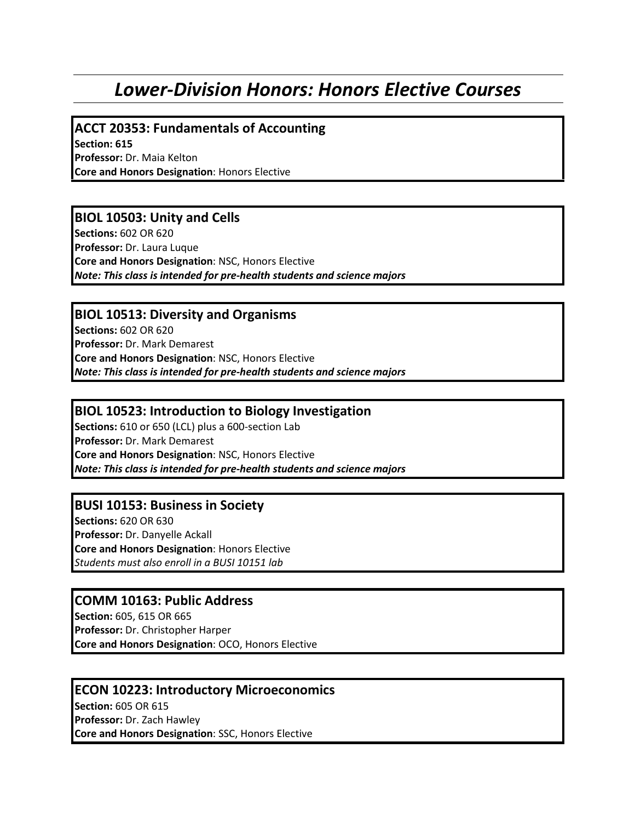# *Lower-Division Honors: Honors Elective Courses*

**ACCT 20353: Fundamentals of Accounting**

**Section: 615 Professor:** Dr. Maia Kelton **Core and Honors Designation**: Honors Elective

#### **BIOL 10503: Unity and Cells**

**Sections:** 602 OR 620 **Professor:** Dr. Laura Luque **Core and Honors Designation**: NSC, Honors Elective *Note: This class is intended for pre-health students and science majors*

#### **BIOL 10513: Diversity and Organisms**

**Sections:** 602 OR 620 **Professor:** Dr. Mark Demarest **Core and Honors Designation**: NSC, Honors Elective *Note: This class is intended for pre-health students and science majors*

#### **BIOL 10523: Introduction to Biology Investigation**

**Sections:** 610 or 650 (LCL) plus a 600-section Lab **Professor:** Dr. Mark Demarest **Core and Honors Designation**: NSC, Honors Elective *Note: This class is intended for pre-health students and science majors*

#### **BUSI 10153: Business in Society**

**Sections:** 620 OR 630 **Professor:** Dr. Danyelle Ackall **Core and Honors Designation**: Honors Elective *Students must also enroll in a BUSI 10151 lab* 

#### **COMM 10163: Public Address**

**Section:** 605, 615 OR 665 **Professor:** Dr. Christopher Harper **Core and Honors Designation**: OCO, Honors Elective

#### **ECON 10223: Introductory Microeconomics**

**Section:** 605 OR 615 **Professor:** Dr. Zach Hawley **Core and Honors Designation**: SSC, Honors Elective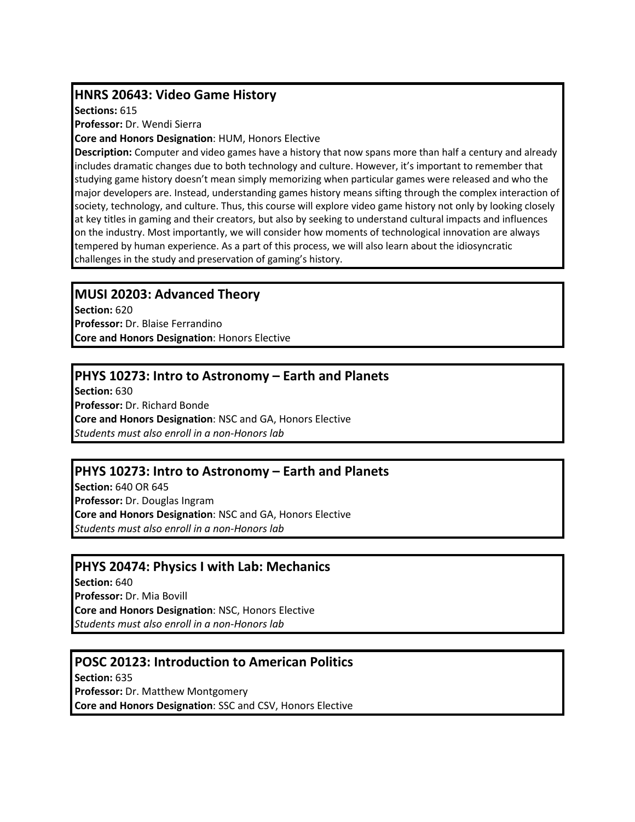#### **HNRS 20643: Video Game History**

**Sections:** 615

**Professor:** Dr. Wendi Sierra

**Core and Honors Designation**: HUM, Honors Elective

**Description:** Computer and video games have a history that now spans more than half a century and already includes dramatic changes due to both technology and culture. However, it's important to remember that studying game history doesn't mean simply memorizing when particular games were released and who the major developers are. Instead, understanding games history means sifting through the complex interaction of society, technology, and culture. Thus, this course will explore video game history not only by looking closely at key titles in gaming and their creators, but also by seeking to understand cultural impacts and influences on the industry. Most importantly, we will consider how moments of technological innovation are always tempered by human experience. As a part of this process, we will also learn about the idiosyncratic challenges in the study and preservation of gaming's history.

#### **MUSI 20203: Advanced Theory**

**Section:** 620 **Professor:** Dr. Blaise Ferrandino **Core and Honors Designation**: Honors Elective

### **PHYS 10273: Intro to Astronomy – Earth and Planets**

**Section:** 630 **Professor:** Dr. Richard Bonde **Core and Honors Designation**: NSC and GA, Honors Elective *Students must also enroll in a non-Honors lab*

#### **PHYS 10273: Intro to Astronomy – Earth and Planets**

**Section:** 640 OR 645 **Professor:** Dr. Douglas Ingram **Core and Honors Designation**: NSC and GA, Honors Elective *Students must also enroll in a non-Honors lab*

#### **PHYS 20474: Physics I with Lab: Mechanics**

**Section:** 640 **Professor:** Dr. Mia Bovill **Core and Honors Designation**: NSC, Honors Elective *Students must also enroll in a non-Honors lab*

#### **POSC 20123: Introduction to American Politics**

**Section:** 635 **Professor:** Dr. Matthew Montgomery **Core and Honors Designation**: SSC and CSV, Honors Elective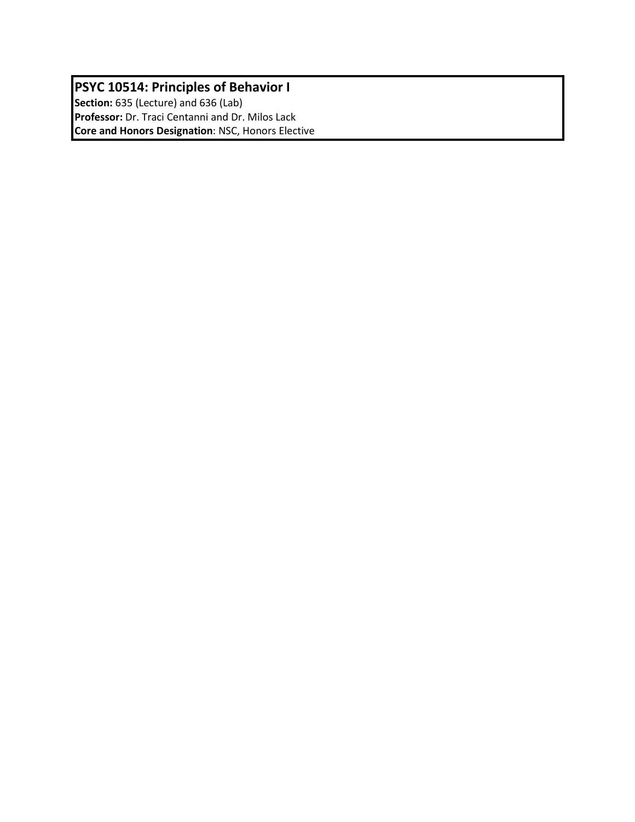# **PSYC 10514: Principles of Behavior I**

**Section:** 635 (Lecture) and 636 (Lab) **Professor:** Dr. Traci Centanni and Dr. Milos Lack **Core and Honors Designation**: NSC, Honors Elective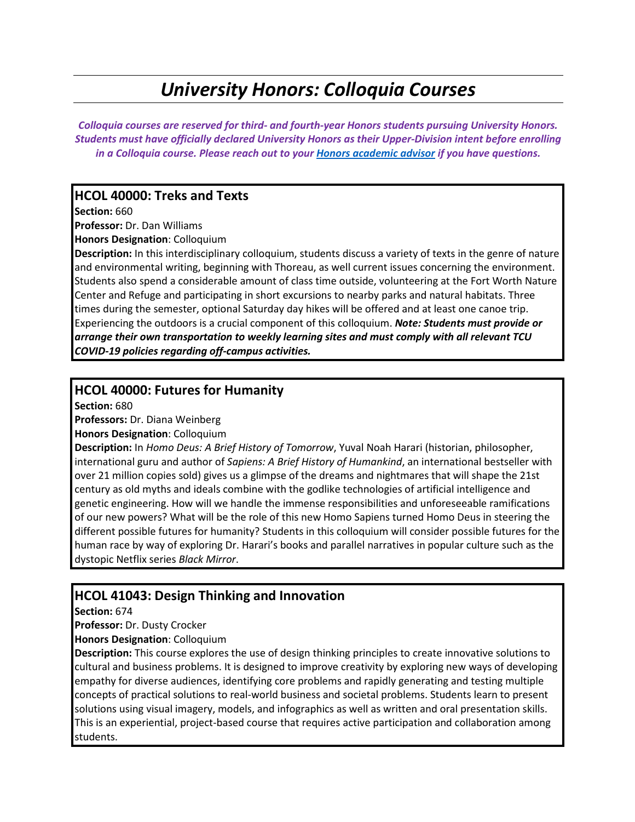# *University Honors: Colloquia Courses*

*Colloquia courses are reserved for third- and fourth-year Honors students pursuing University Honors. Students must have officially declared University Honors as their Upper-Division intent before enrolling in a Colloquia course. Please reach out to your [Honors academic advisor](http://honors.tcu.edu/wp-content/uploads/2022/02/Advising-Caseloads.pdf) if you have questions.* 

#### **HCOL 40000: Treks and Texts**

**Section:** 660

**Professor:** Dr. Dan Williams

**Honors Designation**: Colloquium

**Description:** In this interdisciplinary colloquium, students discuss a variety of texts in the genre of nature and environmental writing, beginning with Thoreau, as well current issues concerning the environment. Students also spend a considerable amount of class time outside, volunteering at the Fort Worth Nature Center and Refuge and participating in short excursions to nearby parks and natural habitats. Three times during the semester, optional Saturday day hikes will be offered and at least one canoe trip. Experiencing the outdoors is a crucial component of this colloquium. *Note: Students must provide or arrange their own transportation to weekly learning sites and must comply with all relevant TCU COVID-19 policies regarding off-campus activities.*

#### **HCOL 40000: Futures for Humanity**

**Section:** 680

**Professors:** Dr. Diana Weinberg

**Honors Designation**: Colloquium

**Description:** In *Homo Deus: A Brief History of Tomorrow*, Yuval Noah Harari (historian, philosopher, international guru and author of *Sapiens: A Brief History of Humankind*, an international bestseller with over 21 million copies sold) gives us a glimpse of the dreams and nightmares that will shape the 21st century as old myths and ideals combine with the godlike technologies of artificial intelligence and genetic engineering. How will we handle the immense responsibilities and unforeseeable ramifications of our new powers? What will be the role of this new Homo Sapiens turned Homo Deus in steering the different possible futures for humanity? Students in this colloquium will consider possible futures for the human race by way of exploring Dr. Harari's books and parallel narratives in popular culture such as the dystopic Netflix series *Black Mirror*.

#### **HCOL 41043: Design Thinking and Innovation**

**Section:** 674

**Professor:** Dr. Dusty Crocker

**Honors Designation**: Colloquium

**Description:** This course explores the use of design thinking principles to create innovative solutions to cultural and business problems. It is designed to improve creativity by exploring new ways of developing empathy for diverse audiences, identifying core problems and rapidly generating and testing multiple concepts of practical solutions to real-world business and societal problems. Students learn to present solutions using visual imagery, models, and infographics as well as written and oral presentation skills. This is an experiential, project-based course that requires active participation and collaboration among students.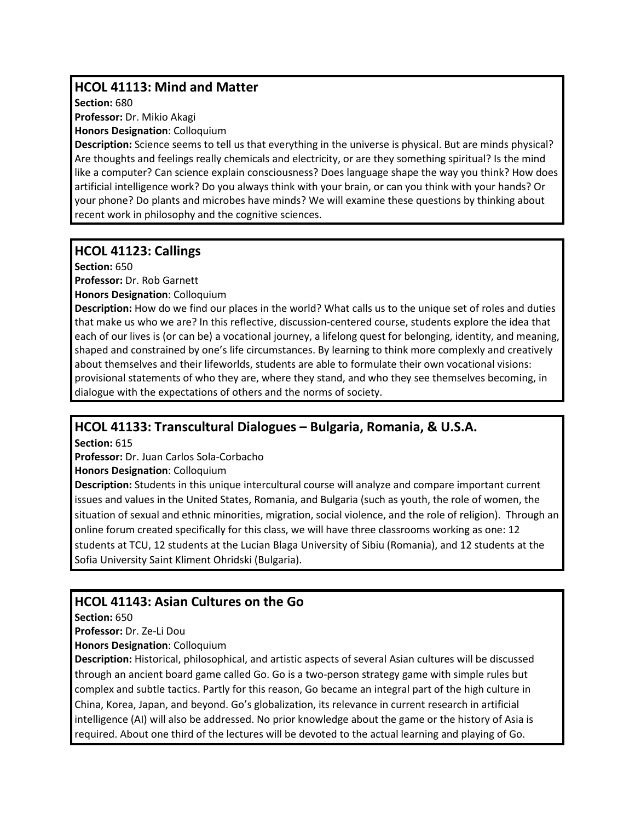# **HCOL 41113: Mind and Matter**

**Section:** 680

**Professor:** Dr. Mikio Akagi

**Honors Designation**: Colloquium

**Description:** Science seems to tell us that everything in the universe is physical. But are minds physical? Are thoughts and feelings really chemicals and electricity, or are they something spiritual? Is the mind like a computer? Can science explain consciousness? Does language shape the way you think? How does artificial intelligence work? Do you always think with your brain, or can you think with your hands? Or your phone? Do plants and microbes have minds? We will examine these questions by thinking about recent work in philosophy and the cognitive sciences.

### **HCOL 41123: Callings**

**Section:** 650

**Professor:** Dr. Rob Garnett

**Honors Designation**: Colloquium

**Description:** How do we find our places in the world? What calls us to the unique set of roles and duties that make us who we are? In this reflective, discussion-centered course, students explore the idea that each of our lives is (or can be) a vocational journey, a lifelong quest for belonging, identity, and meaning, shaped and constrained by one's life circumstances. By learning to think more complexly and creatively about themselves and their lifeworlds, students are able to formulate their own vocational visions: provisional statements of who they are, where they stand, and who they see themselves becoming, in dialogue with the expectations of others and the norms of society.

# **HCOL 41133: Transcultural Dialogues – Bulgaria, Romania, & U.S.A.**

**Section:** 615

**Professor:** Dr. Juan Carlos Sola-Corbacho

**Honors Designation**: Colloquium

**Description:** Students in this unique intercultural course will analyze and compare important current issues and values in the United States, Romania, and Bulgaria (such as youth, the role of women, the situation of sexual and ethnic minorities, migration, social violence, and the role of religion). Through an online forum created specifically for this class, we will have three classrooms working as one: 12 students at TCU, 12 students at the Lucian Blaga University of Sibiu (Romania), and 12 students at the Sofia University Saint Kliment Ohridski (Bulgaria).

# **HCOL 41143: Asian Cultures on the Go**

**Section:** 650

**Professor:** Dr. Ze-Li Dou

**Honors Designation**: Colloquium

**Description:** Historical, philosophical, and artistic aspects of several Asian cultures will be discussed through an ancient board game called Go. Go is a two-person strategy game with simple rules but complex and subtle tactics. Partly for this reason, Go became an integral part of the high culture in China, Korea, Japan, and beyond. Go's globalization, its relevance in current research in artificial intelligence (AI) will also be addressed. No prior knowledge about the game or the history of Asia is required. About one third of the lectures will be devoted to the actual learning and playing of Go.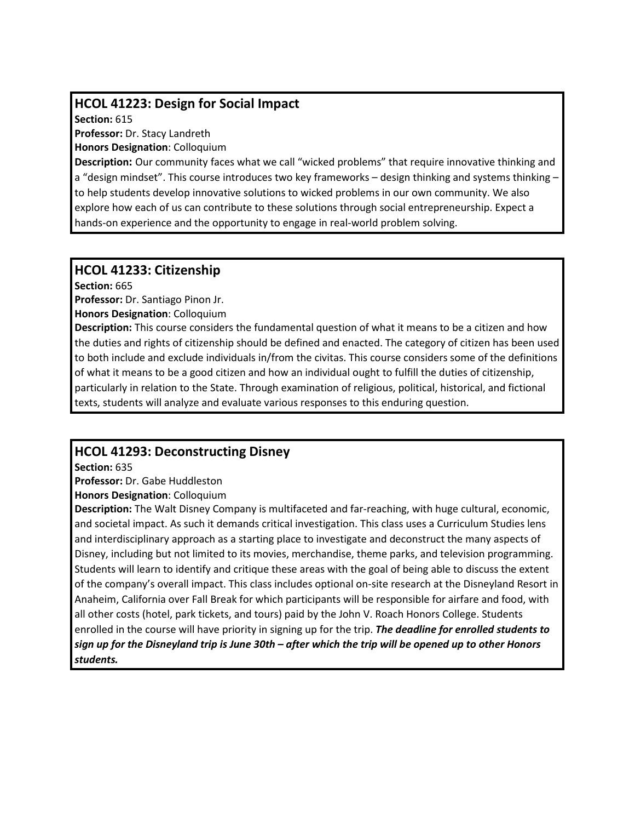### **HCOL 41223: Design for Social Impact**

**Section:** 615

**Professor:** Dr. Stacy Landreth

**Honors Designation**: Colloquium

**Description:** Our community faces what we call "wicked problems" that require innovative thinking and a "design mindset". This course introduces two key frameworks – design thinking and systems thinking – to help students develop innovative solutions to wicked problems in our own community. We also explore how each of us can contribute to these solutions through social entrepreneurship. Expect a hands-on experience and the opportunity to engage in real-world problem solving.

#### **HCOL 41233: Citizenship**

**Section:** 665

**Professor:** Dr. Santiago Pinon Jr.

**Honors Designation**: Colloquium

**Description:** This course considers the fundamental question of what it means to be a citizen and how the duties and rights of citizenship should be defined and enacted. The category of citizen has been used to both include and exclude individuals in/from the civitas. This course considers some of the definitions of what it means to be a good citizen and how an individual ought to fulfill the duties of citizenship, particularly in relation to the State. Through examination of religious, political, historical, and fictional texts, students will analyze and evaluate various responses to this enduring question.

# **HCOL 41293: Deconstructing Disney**

**Section:** 635

**Professor:** Dr. Gabe Huddleston

**Honors Designation**: Colloquium

**Description:** The Walt Disney Company is multifaceted and far-reaching, with huge cultural, economic, and societal impact. As such it demands critical investigation. This class uses a Curriculum Studies lens and interdisciplinary approach as a starting place to investigate and deconstruct the many aspects of Disney, including but not limited to its movies, merchandise, theme parks, and television programming. Students will learn to identify and critique these areas with the goal of being able to discuss the extent of the company's overall impact. This class includes optional on-site research at the Disneyland Resort in Anaheim, California over Fall Break for which participants will be responsible for airfare and food, with all other costs (hotel, park tickets, and tours) paid by the John V. Roach Honors College. Students enrolled in the course will have priority in signing up for the trip. *The deadline for enrolled students to sign up for the Disneyland trip is June 30th – after which the trip will be opened up to other Honors students.*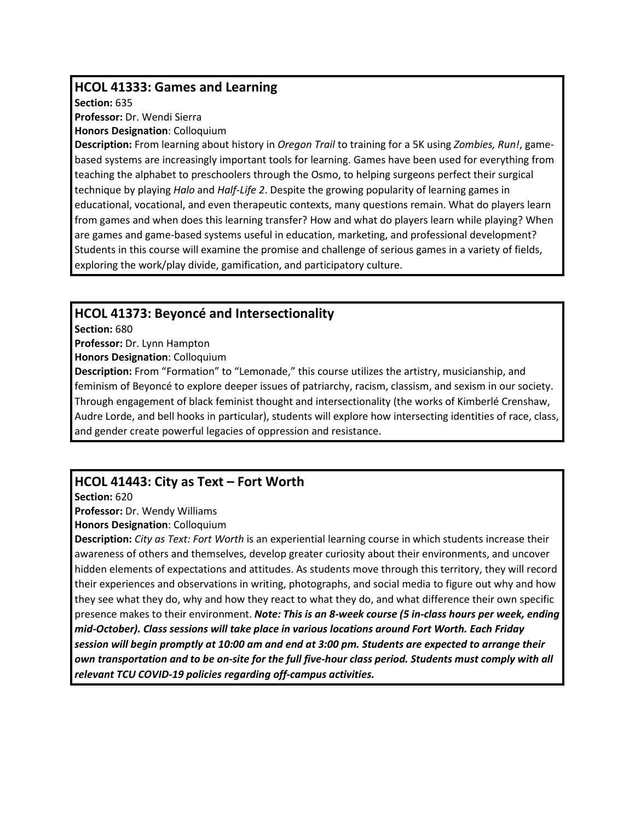#### **HCOL 41333: Games and Learning**

**Section:** 635

**Professor:** Dr. Wendi Sierra

**Honors Designation**: Colloquium

**Description:** From learning about history in *Oregon Trail* to training for a 5K using *Zombies, Run!*, gamebased systems are increasingly important tools for learning. Games have been used for everything from teaching the alphabet to preschoolers through the Osmo, to helping surgeons perfect their surgical technique by playing *Halo* and *Half-Life 2*. Despite the growing popularity of learning games in educational, vocational, and even therapeutic contexts, many questions remain. What do players learn from games and when does this learning transfer? How and what do players learn while playing? When are games and game-based systems useful in education, marketing, and professional development? Students in this course will examine the promise and challenge of serious games in a variety of fields, exploring the work/play divide, gamification, and participatory culture.

#### **HCOL 41373: Beyoncé and Intersectionality**

**Section:** 680

**Professor:** Dr. Lynn Hampton

**Honors Designation**: Colloquium

**Description:** From "Formation" to "Lemonade," this course utilizes the artistry, musicianship, and feminism of Beyoncé to explore deeper issues of patriarchy, racism, classism, and sexism in our society. Through engagement of black feminist thought and intersectionality (the works of Kimberlé Crenshaw, Audre Lorde, and bell hooks in particular), students will explore how intersecting identities of race, class, and gender create powerful legacies of oppression and resistance.

# **HCOL 41443: City as Text – Fort Worth**

**Section:** 620

**Professor:** Dr. Wendy Williams

**Honors Designation**: Colloquium

**Description:** *City as Text: Fort Worth* is an experiential learning course in which students increase their awareness of others and themselves, develop greater curiosity about their environments, and uncover hidden elements of expectations and attitudes. As students move through this territory, they will record their experiences and observations in writing, photographs, and social media to figure out why and how they see what they do, why and how they react to what they do, and what difference their own specific presence makes to their environment. *Note: This is an 8-week course (5 in-class hours per week, ending mid-October). Class sessions will take place in various locations around Fort Worth. Each Friday session will begin promptly at 10:00 am and end at 3:00 pm. Students are expected to arrange their own transportation and to be on-site for the full five-hour class period. Students must comply with all relevant TCU COVID-19 policies regarding off-campus activities.*